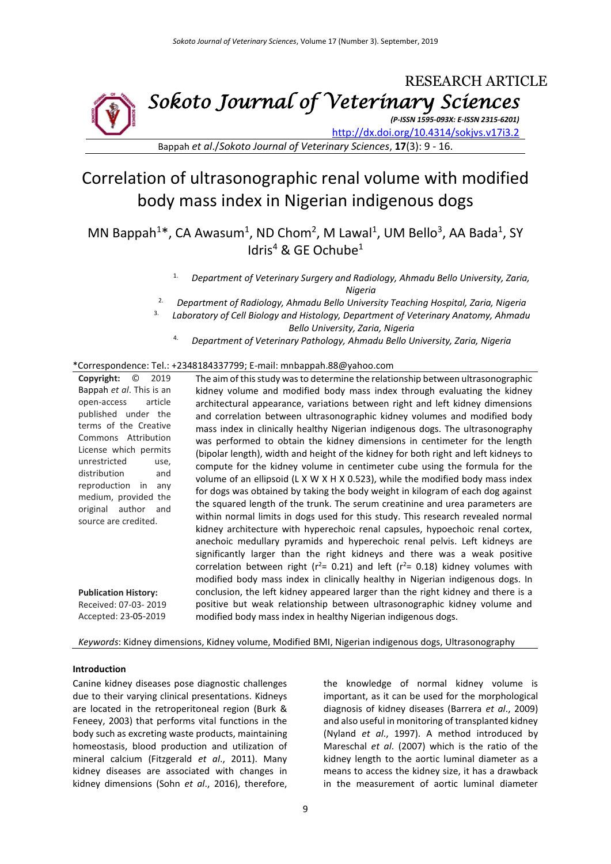

Bappah *et al*./*Sokoto Journal of Veterinary Sciences*, **17**(3): 9 - 16.

# Correlation of ultrasonographic renal volume with modified body mass index in Nigerian indigenous dogs

MN Bappah<sup>1\*</sup>, CA Awasum<sup>1</sup>, ND Chom<sup>2</sup>, M Lawal<sup>1</sup>, UM Bello<sup>3</sup>, AA Bada<sup>1</sup>, SY Idris<sup>4</sup> & GE Ochube<sup>1</sup>

4. *Department of Veterinary Pathology, Ahmadu Bello University, Zaria, Nigeria*

## \*Correspondence: Tel.: +2348184337799; E-mail: mnbappah.88@yahoo.com

| Copyright:<br>O<br>2019                        | The aim of this study was to determine the relationship between ultrasonographic       |
|------------------------------------------------|----------------------------------------------------------------------------------------|
| Bappah et al. This is an                       | kidney volume and modified body mass index through evaluating the kidney               |
| article<br>open-access                         | architectural appearance, variations between right and left kidney dimensions          |
| published under the                            | and correlation between ultrasonographic kidney volumes and modified body              |
| terms of the Creative                          | mass index in clinically healthy Nigerian indigenous dogs. The ultrasonography         |
| Commons Attribution                            | was performed to obtain the kidney dimensions in centimeter for the length             |
| License which permits                          | (bipolar length), width and height of the kidney for both right and left kidneys to    |
| unrestricted<br>use,                           | compute for the kidney volume in centimeter cube using the formula for the             |
| distribution<br>and                            | volume of an ellipsoid (L X W X H X 0.523), while the modified body mass index         |
| reproduction in<br>any<br>medium, provided the | for dogs was obtained by taking the body weight in kilogram of each dog against        |
| original author<br>and                         | the squared length of the trunk. The serum creatinine and urea parameters are          |
| source are credited.                           | within normal limits in dogs used for this study. This research revealed normal        |
|                                                | kidney architecture with hyperechoic renal capsules, hypoechoic renal cortex,          |
|                                                | anechoic medullary pyramids and hyperechoic renal pelvis. Left kidneys are             |
|                                                | significantly larger than the right kidneys and there was a weak positive              |
|                                                | correlation between right ( $r^2$ = 0.21) and left ( $r^2$ = 0.18) kidney volumes with |
|                                                | modified body mass index in clinically healthy in Nigerian indigenous dogs. In         |
| <b>Publication History:</b>                    | conclusion, the left kidney appeared larger than the right kidney and there is a       |
| Received: 07-03-2019                           | positive but weak relationship between ultrasonographic kidney volume and              |
| Accepted: 23-05-2019                           | modified body mass index in healthy Nigerian indigenous dogs.                          |

*Keywords*: Kidney dimensions, Kidney volume, Modified BMI, Nigerian indigenous dogs, Ultrasonography

# **Introduction**

Canine kidney diseases pose diagnostic challenges due to their varying clinical presentations. Kidneys are located in the retroperitoneal region (Burk & Feneey, 2003) that performs vital functions in the body such as excreting waste products, maintaining homeostasis, blood production and utilization of mineral calcium (Fitzgerald *et al*., 2011). Many kidney diseases are associated with changes in kidney dimensions (Sohn *et al*., 2016), therefore,

the knowledge of normal kidney volume is important, as it can be used for the morphological diagnosis of kidney diseases (Barrera *et al*., 2009) and also useful in monitoring of transplanted kidney (Nyland *et al*., 1997). A method introduced by Mareschal *et al*. (2007) which is the ratio of the kidney length to the aortic luminal diameter as a means to access the kidney size, it has a drawback in the measurement of aortic luminal diameter

<sup>1.</sup> *Department of Veterinary Surgery and Radiology, Ahmadu Bello University, Zaria, Nigeria*

<sup>2.</sup> *Department of Radiology, Ahmadu Bello University Teaching Hospital, Zaria, Nigeria*

<sup>3.</sup> *Laboratory of Cell Biology and Histology, Department of Veterinary Anatomy, Ahmadu Bello University, Zaria, Nigeria*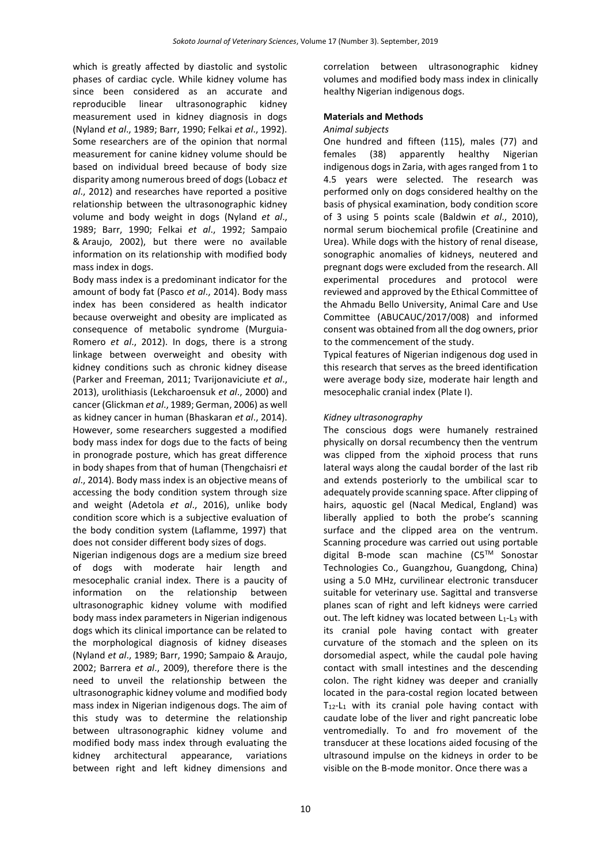which is greatly affected by diastolic and systolic phases of cardiac cycle. While kidney volume has since been considered as an accurate and reproducible linear ultrasonographic kidney measurement used in kidney diagnosis in dogs (Nyland *et al*., 1989; Barr, 1990; Felkai *et al*., 1992). Some researchers are of the opinion that normal measurement for canine kidney volume should be based on individual breed because of body size disparity among numerous breed of dogs (Lobacz *et al*., 2012) and researches have reported a positive relationship between the ultrasonographic kidney volume and body weight in dogs (Nyland *et al*., 1989; Barr, 1990; Felkai *et al*., 1992; Sampaio & Araujo, 2002), but there were no available information on its relationship with modified body mass index in dogs.

Body mass index is a predominant indicator for the amount of body fat (Pasco *et al*., 2014). Body mass index has been considered as health indicator because overweight and obesity are implicated as consequence of metabolic syndrome (Murguia-Romero *et al*., 2012). In dogs, there is a strong linkage between overweight and obesity with kidney conditions such as chronic kidney disease (Parker and Freeman, 2011; Tvarijonaviciute *et al*., 2013), urolithiasis (Lekcharoensuk *et al*., 2000) and cancer (Glickman *et al*., 1989; German, 2006) as well as kidney cancer in human [\(Bhaskaran](javascript:void(0);) *et al*., 2014). However, some researchers suggested a modified body mass index for dogs due to the facts of being in pronograde posture, which has great difference in body shapes from that of human (Thengchaisri *et al*., 2014). Body mass index is an objective means of accessing the body condition system through size and weight (Adetola *et al*., 2016), unlike body condition score which is a subjective evaluation of the body condition system (Laflamme, 1997) that does not consider different body sizes of dogs.

Nigerian indigenous dogs are a medium size breed of dogs with moderate hair length and mesocephalic cranial index. There is a paucity of information on the relationship between ultrasonographic kidney volume with modified body mass index parameters in Nigerian indigenous dogs which its clinical importance can be related to the morphological diagnosis of kidney diseases (Nyland *et al*., 1989; Barr, 1990; Sampaio & Araujo, 2002; Barrera *et al*., 2009), therefore there is the need to unveil the relationship between the ultrasonographic kidney volume and modified body mass index in Nigerian indigenous dogs. The aim of this study was to determine the relationship between ultrasonographic kidney volume and modified body mass index through evaluating the kidney architectural appearance, variations between right and left kidney dimensions and

correlation between ultrasonographic kidney volumes and modified body mass index in clinically healthy Nigerian indigenous dogs.

# **Materials and Methods**

## *Animal subjects*

One hundred and fifteen (115), males (77) and females (38) apparently healthy Nigerian indigenous dogs in Zaria, with ages ranged from 1 to 4.5 years were selected. The research was performed only on dogs considered healthy on the basis of physical examination, body condition score of 3 using 5 points scale (Baldwin *et al*., 2010), normal serum biochemical profile (Creatinine and Urea). While dogs with the history of renal disease, sonographic anomalies of kidneys, neutered and pregnant dogs were excluded from the research. All experimental procedures and protocol were reviewed and approved by the Ethical Committee of the Ahmadu Bello University, Animal Care and Use Committee (ABUCAUC/2017/008) and informed consent was obtained from all the dog owners, prior to the commencement of the study.

Typical features of Nigerian indigenous dog used in this research that serves as the breed identification were average body size, moderate hair length and mesocephalic cranial index (Plate I).

# *Kidney ultrasonography*

The conscious dogs were humanely restrained physically on dorsal recumbency then the ventrum was clipped from the xiphoid process that runs lateral ways along the caudal border of the last rib and extends posteriorly to the umbilical scar to adequately provide scanning space. After clipping of hairs, aquostic gel (Nacal Medical, England) was liberally applied to both the probe's scanning surface and the clipped area on the ventrum. Scanning procedure was carried out using portable digital B-mode scan machine (C5TM Sonostar Technologies Co., Guangzhou, Guangdong, China) using a 5.0 MHz, curvilinear electronic transducer suitable for veterinary use. Sagittal and transverse planes scan of right and left kidneys were carried out. The left kidney was located between L1-L3 with its cranial pole having contact with greater curvature of the stomach and the spleen on its dorsomedial aspect, while the caudal pole having contact with small intestines and the descending colon. The right kidney was deeper and cranially located in the para-costal region located between  $T_{12}$ -L<sub>1</sub> with its cranial pole having contact with caudate lobe of the liver and right pancreatic lobe ventromedially. To and fro movement of the transducer at these locations aided focusing of the ultrasound impulse on the kidneys in order to be visible on the B-mode monitor. Once there was a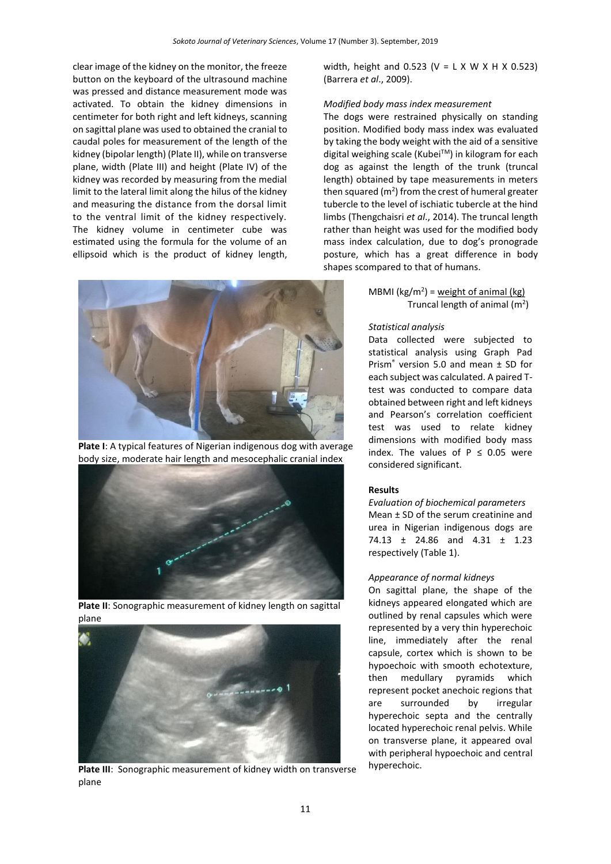clear image of the kidney on the monitor, the freeze button on the keyboard of the ultrasound machine was pressed and distance measurement mode was activated. To obtain the kidney dimensions in centimeter for both right and left kidneys, scanning on sagittal plane was used to obtained the cranial to caudal poles for measurement of the length of the kidney (bipolar length) (Plate II), while on transverse plane, width (Plate III) and height (Plate IV) of the kidney was recorded by measuring from the medial limit to the lateral limit along the hilus of the kidney and measuring the distance from the dorsal limit to the ventral limit of the kidney respectively. The kidney volume in centimeter cube was estimated using the formula for the volume of an ellipsoid which is the product of kidney length,



**Plate I**: A typical features of Nigerian indigenous dog with average body size, moderate hair length and mesocephalic cranial index



**Plate II**: Sonographic measurement of kidney length on sagittal plane



**Plate III**: Sonographic measurement of kidney width on transverse plane

width, height and 0.523 ( $V = L X W X H X 0.523$ ) (Barrera *et al*., 2009).

### *Modified body mass index measurement*

The dogs were restrained physically on standing position. Modified body mass index was evaluated by taking the body weight with the aid of a sensitive digital weighing scale (Kubei™) in kilogram for each dog as against the length of the trunk (truncal length) obtained by tape measurements in meters then squared ( $m<sup>2</sup>$ ) from the crest of humeral greater tubercle to the level of ischiatic tubercle at the hind limbs (Thengchaisri *et al*., 2014). The truncal length rather than height was used for the modified body mass index calculation, due to dog's pronograde posture, which has a great difference in body shapes scompared to that of humans.

> MBMI ( $kg/m^2$ ) = weight of animal (kg) Truncal length of animal  $(m<sup>2</sup>)$

### *Statistical analysis*

Data collected were subjected to statistical analysis using Graph Pad Prism® version 5.0 and mean ± SD for each subject was calculated. A paired Ttest was conducted to compare data obtained between right and left kidneys and Pearson's correlation coefficient test was used to relate kidney dimensions with modified body mass index. The values of  $P \le 0.05$  were considered significant.

# **Results**

*Evaluation of biochemical parameters* Mean ± SD of the serum creatinine and urea in Nigerian indigenous dogs are 74.13 ± 24.86 and 4.31 ± 1.23 respectively (Table 1).

#### *Appearance of normal kidneys*

On sagittal plane, the shape of the kidneys appeared elongated which are outlined by renal capsules which were represented by a very thin hyperechoic line, immediately after the renal capsule, cortex which is shown to be hypoechoic with smooth echotexture, then medullary pyramids which represent pocket anechoic regions that are surrounded by irregular hyperechoic septa and the centrally located hyperechoic renal pelvis. While on transverse plane, it appeared oval with peripheral hypoechoic and central hyperechoic.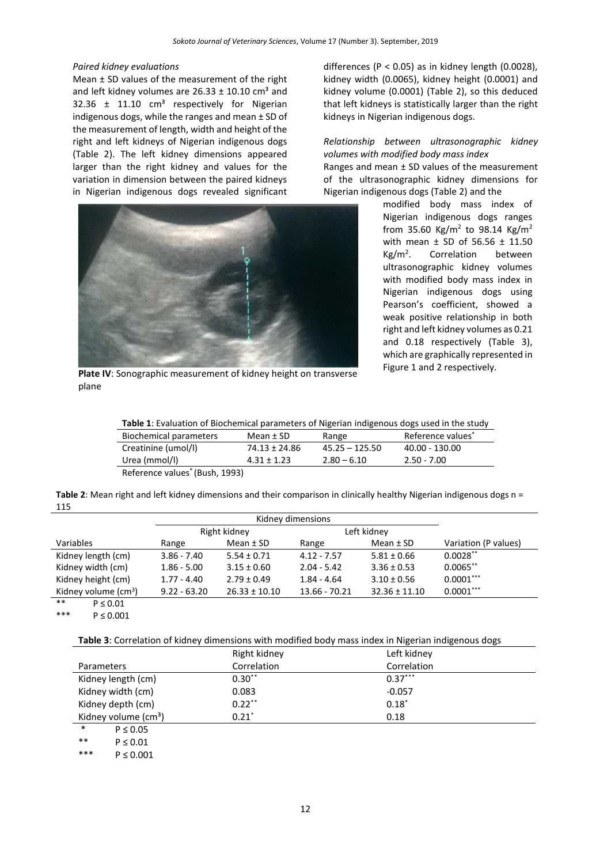#### *Paired kidney evaluations*

Mean ± SD values of the measurement of the right and left kidney volumes are  $26.33 \pm 10.10$  cm<sup>3</sup> and 32.36  $\pm$  11.10 cm<sup>3</sup> respectively for Nigerian indigenous dogs, while the ranges and mean ± SD of the measurement of length, width and height of the right and left kidneys of Nigerian indigenous dogs (Table 2). The left kidney dimensions appeared larger than the right kidney and values for the variation in dimension between the paired kidneys in Nigerian indigenous dogs revealed significant



Figure 1 and 2 respectively. **Plate IV**: Sonographic measurement of kidney height on transverse plane

differences ( $P < 0.05$ ) as in kidney length (0.0028), kidney width (0.0065), kidney height (0.0001) and kidney volume (0.0001) (Table 2), so this deduced that left kidneys is statistically larger than the right kidneys in Nigerian indigenous dogs.

## *Relationship between ultrasonographic kidney volumes with modified body mass index*

Ranges and mean ± SD values of the measurement of the ultrasonographic kidney dimensions for Nigerian indigenous dogs (Table 2) and the

> modified body mass index of Nigerian indigenous dogs ranges from 35.60 Kg/m<sup>2</sup> to 98.14 Kg/m<sup>2</sup> with mean ± SD of 56.56 ± 11.50  $Kg/m<sup>2</sup>$ . . Correlation between ultrasonographic kidney volumes with modified body mass index in Nigerian indigenous dogs using Pearson's coefficient, showed a weak positive relationship in both right and left kidney volumes as 0.21 and 0.18 respectively (Table 3), which are graphically represented in

**Table 1**: Evaluation of Biochemical parameters of Nigerian indigenous dogs used in the study

| Biochemical parameters | Mean ± SD       | Range            | Reference values <sup>*</sup> |
|------------------------|-----------------|------------------|-------------------------------|
| Creatinine (umol/l)    | 74.13 ± 24.86   | $45.25 - 125.50$ | 40.00 - 130.00                |
| Urea (mmol/l)          | $4.31 \pm 1.23$ | $2.80 - 6.10$    | $2.50 - 7.00$                 |
|                        |                 |                  |                               |

Reference values\* (Bush, 1993)

**Table 2**: Mean right and left kidney dimensions and their comparison in clinically healthy Nigerian indigenous dogs n = 115

|                                      | Right kidney   |                   | Left kidney   |                   |                      |
|--------------------------------------|----------------|-------------------|---------------|-------------------|----------------------|
| Variables                            | Range          | Mean $±$ SD       | Range         | Mean $±$ SD       | Variation (P values) |
| Kidney length (cm)                   | $3.86 - 7.40$  | $5.54 \pm 0.71$   | $4.12 - 7.57$ | $5.81 \pm 0.66$   | $0.0028**$           |
| Kidney width (cm)                    | $1.86 - 5.00$  | $3.15 \pm 0.60$   | $2.04 - 5.42$ | $3.36 \pm 0.53$   | $0.0065**$           |
| Kidney height (cm)                   | $1.77 - 4.40$  | $2.79 \pm 0.49$   | $1.84 - 4.64$ | $3.10 \pm 0.56$   | $0.0001***$          |
| Kidney volume $\text{(cm}^3\text{)}$ | $9.22 - 63.20$ | $26.33 \pm 10.10$ | 13.66 - 70.21 | $32.36 \pm 11.10$ | $0.0001***$          |
| $***$<br>$P \leq 0.01$               |                |                   |               |                   |                      |

 $P \le 0.001$ 

**Table 3**: Correlation of kidney dimensions with modified body mass index in Nigerian indigenous dogs

|                                  | Right kidney | Left kidney |
|----------------------------------|--------------|-------------|
| <b>Parameters</b>                | Correlation  | Correlation |
| Kidney length (cm)               | $0.30$ **    | $0.37***$   |
| Kidney width (cm)                | 0.083        | $-0.057$    |
| Kidney depth (cm)                | $0.22***$    | $0.18^*$    |
| Kidney volume (cm <sup>3</sup> ) | $0.21*$      | 0.18        |
| $\ast$<br>$P \leq 0.05$          |              |             |
| $***$<br>$P \leq 0.01$           |              |             |

\*\*\* P  $\leq 0.001$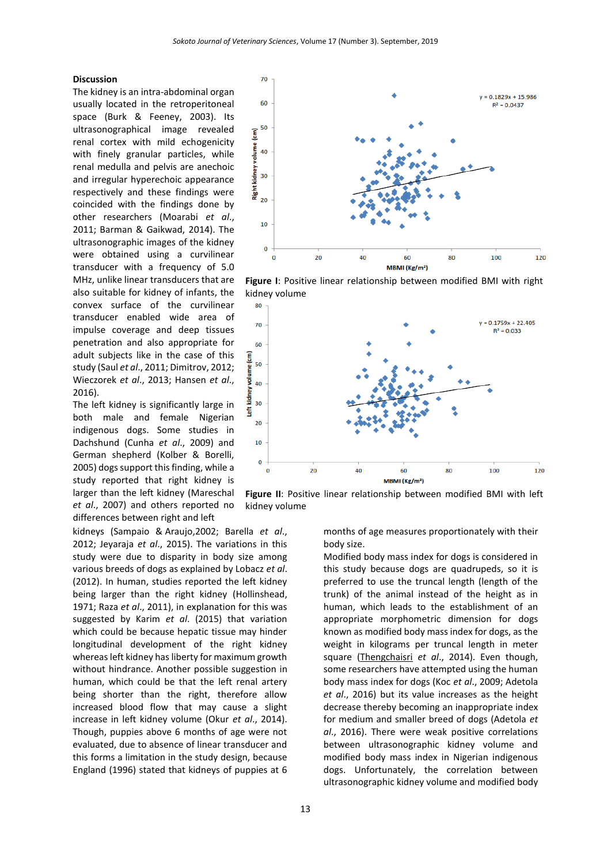$70$ 

60

50  $\widehat{\mathsf{E}}$ volume 40

10

 $\mathbf 0$  $\Omega$ 

80

70

60 (cm) 50 volume 40 ġ 30 t 20 10  $\mathbf 0$ 

 $\mathbf 0$ 

cidney 30 Right I  $\overline{20}$ 

kidney volume

 $20$ 

40

### **Discussion**

The kidney is an intra-abdominal organ usually located in the retroperitoneal space (Burk & Feeney, 2003). Its ultrasonographical image revealed renal cortex with mild echogenicity with finely granular particles, while renal medulla and pelvis are anechoic and irregular hyperechoic appearance respectively and these findings were coincided with the findings done by other researchers (Moarabi *et al*., 2011; Barman & Gaikwad, 2014). The ultrasonographic images of the kidney were obtained using a curvilinear transducer with a frequency of 5.0 MHz, unlike linear transducers that are also suitable for kidney of infants, the convex surface of the curvilinear transducer enabled wide area of impulse coverage and deep tissues penetration and also appropriate for adult subjects like in the case of this study (Saul *et al*., 2011; Dimitrov, 2012; Wieczorek *et al*., 2013; Hansen *et al*., 2016).

The left kidney is significantly large in both male and female Nigerian indigenous dogs. Some studies in Dachshund (Cunha *et al*., 2009) and German shepherd (Kolber & Borelli, 2005) dogs support this finding, while a study reported that right kidney is larger than the left kidney (Mareschal *et al*., 2007) and others reported no differences between right and left

kidneys (Sampaio & Araujo,2002; Barella *et al*., 2012; Jeyaraja *et al*., 2015). The variations in this study were due to disparity in body size among various breeds of dogs as explained by Lobacz *et al*. (2012). In human, studies reported the left kidney being larger than the right kidney (Hollinshead, 1971; Raza *et al*., 2011), in explanation for this was suggested by Karim *et al*. (2015) that variation which could be because hepatic tissue may hinder longitudinal development of the right kidney whereas left kidney has liberty for maximum growth without hindrance. Another possible suggestion in human, which could be that the left renal artery being shorter than the right, therefore allow increased blood flow that may cause a slight increase in left kidney volume (Okur *et al*., 2014). Though, puppies above 6 months of age were not evaluated, due to absence of linear transducer and this forms a limitation in the study design, because England (1996) stated that kidneys of puppies at 6



60 MBMI (Kg/m<sup>2</sup>)



months of age measures proportionately with their body size.

80

 $v = 0.1829x + 15.986$ 

 $R^2 = 0.0437$ 

100

 $= 0.1759x + 22.405$ 

 $R^2 = 0.033$ 

100

 $120$ 

120

Modified body mass index for dogs is considered in this study because dogs are quadrupeds, so it is preferred to use the truncal length (length of the trunk) of the animal instead of the height as in human, which leads to the establishment of an appropriate morphometric dimension for dogs known as modified body mass index for dogs, as the weight in kilograms per truncal length in meter square [\(Thengchaisri](https://www.ncbi.nlm.nih.gov/pubmed/?term=Thengchaisri%20N%5BAuthor%5D&cauthor=true&cauthor_uid=24923277) *et al*., 2014). Even though, some researchers have attempted using the human body mass index for dogs (Koc *et al*., 2009; Adetola *et al*., 2016) but its value increases as the height decrease thereby becoming an inappropriate index for medium and smaller breed of dogs (Adetola *et al*., 2016). There were weak positive correlations between ultrasonographic kidney volume and modified body mass index in Nigerian indigenous dogs. Unfortunately, the correlation between ultrasonographic kidney volume and modified body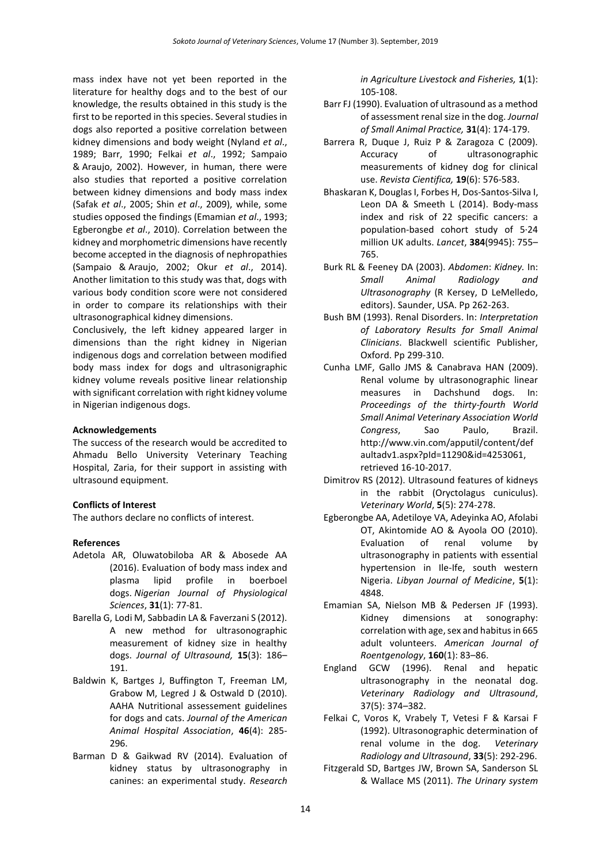mass index have not yet been reported in the literature for healthy dogs and to the best of our knowledge, the results obtained in this study is the first to be reported in this species. Several studies in dogs also reported a positive correlation between kidney dimensions and body weight (Nyland *et al*., 1989; Barr, 1990; Felkai *et al*., 1992; Sampaio & Araujo, 2002). However, in human, there were also studies that reported a positive correlation between kidney dimensions and body mass index (Safak *et al*., 2005; Shin *et al*., 2009), while, some studies opposed the findings (Emamian *et al*., 1993; Egberongbe *et al*., 2010). Correlation between the kidney and morphometric dimensions have recently become accepted in the diagnosis of nephropathies (Sampaio & Araujo, 2002; Okur *et al*., 2014). Another limitation to this study was that, dogs with various body condition score were not considered in order to compare its relationships with their ultrasonographical kidney dimensions.

Conclusively, the left kidney appeared larger in dimensions than the right kidney in Nigerian indigenous dogs and correlation between modified body mass index for dogs and ultrasonigraphic kidney volume reveals positive linear relationship with significant correlation with right kidney volume in Nigerian indigenous dogs.

# **Acknowledgements**

The success of the research would be accredited to Ahmadu Bello University Veterinary Teaching Hospital, Zaria, for their support in assisting with ultrasound equipment.

# **Conflicts of Interest**

The authors declare no conflicts of interest.

### **References**

- Adetola AR, Oluwatobiloba AR & Abosede AA (2016). Evaluation of body mass index and plasma lipid profile in boerboel dogs. *Nigerian Journal of Physiological Sciences*, **31**(1): 77-81.
- [Barella](https://www.ncbi.nlm.nih.gov/pubmed/?term=Barella%20G%5BAuthor%5D&cauthor=true&cauthor_uid=23459261) G, [Lodi](https://www.ncbi.nlm.nih.gov/pubmed/?term=Lodi%20M%5BAuthor%5D&cauthor=true&cauthor_uid=23459261) M, [Sabbadin](https://www.ncbi.nlm.nih.gov/pubmed/?term=Sabbadin%20L%5BAuthor%5D&cauthor=true&cauthor_uid=23459261) LA & [Faverzani](https://www.ncbi.nlm.nih.gov/pubmed/?term=Faverzani%20S%5BAuthor%5D&cauthor=true&cauthor_uid=23459261) S (2012). A new method for ultrasonographic measurement of kidney size in healthy dogs. *[Journal of Ultrasound,](https://www.ncbi.nlm.nih.gov/pmc/articles/PMC3558091/)* **15**(3): 186– 191.
- Baldwin K, Bartges J, Buffington T, Freeman LM, Grabow M, Legred J & Ostwald D (2010). AAHA Nutritional assessement guidelines for dogs and cats. *Journal of the American Animal Hospital Association*, **46**(4): 285- 296.
- Barman D & Gaikwad RV (2014). Evaluation of kidney status by ultrasonography in canines: an experimental study. *Research*

*in Agriculture Livestock and Fisheries,* **1**(1): 105-108.

- Barr FJ (1990). Evaluation of ultrasound as a method of assessment renal size in the dog. *Journal of Small Animal Practice,* **31**(4): 174-179.
- Barrera R, Duque J, Ruiz P & Zaragoza C (2009). Accuracy of ultrasonographic measurements of kidney dog for clinical use. *Revista Cientifica,* **19**(6): 576-583.
- [Bhaskaran](javascript:void(0);) K, Douglas I, Forbes H, [Dos-Santos-Silva](javascript:void(0);) I, [Leon](javascript:void(0);) DA & [Smeeth](javascript:void(0);) L (2014). Body-mass index and risk of 22 specific cancers: a population-based cohort study of 5·24 million UK adults. *Lancet*, **[384](http://www.thelancet.com/journals/lancet/issue/vol384no9945/PIIS0140-6736(14)X6099-X)**(9945): 755– 765.
- Burk RL & Feeney DA (2003). *Abdomen*: *Kidney.* In: *Small Animal Radiology and Ultrasonography* (R Kersey, D LeMelledo, editors). Saunder, USA. Pp 262-263.
- Bush BM (1993). Renal Disorders. In: *Interpretation of Laboratory Results for Small Animal Clinicians*. Blackwell scientific Publisher, Oxford. Pp 299-310.
- Cunha LMF, Gallo JMS & Canabrava HAN (2009). Renal volume by ultrasonographic linear measures in Dachshund dogs. In: *Proceedings of the thirty-fourth World Small Animal Veterinary Association World Congress*, Sao Paulo, Brazil. [http://www.vin.com/apputil/content/def](http://www.vin.com/apputil/content/defaultadv1.aspx?pId=11290&id=4253061) [aultadv1.aspx?pId=11290&id=4253061,](http://www.vin.com/apputil/content/defaultadv1.aspx?pId=11290&id=4253061)  retrieved 16-10-2017.
- Dimitrov RS (2012). Ultrasound features of kidneys in the rabbit (Oryctolagus cuniculus). *Veterinary World*, **5**(5): 274-278.
- Egberongbe AA, Adetiloye VA, Adeyinka AO, Afolabi OT, Akintomide AO & Ayoola OO (2010). Evaluation of renal volume by ultrasonography in patients with essential hypertension in Ile-Ife, south western Nigeria. *Libyan Journal of Medicine*, **5**(1): 4848.
- Emamian SA, Nielson MB & Pedersen JF (1993). Kidney dimensions at sonography: correlation with age, sex and habitus in 665 adult volunteers. *American Journal of Roentgenology*, **160**(1): 83–86.
- England GCW (1996). Renal and hepatic ultrasonography in the neonatal dog. *Veterinary Radiology and Ultrasound*, 37(5): 374–382.
- Felkai C, Voros K, Vrabely T, Vetesi F & Karsai F (1992). Ultrasonographic determination of renal volume in the dog. *Veterinary Radiology and Ultrasound*, **33**(5): 292-296.
- Fitzgerald SD, Bartges JW, Brown SA, Sanderson SL & Wallace MS (2011). *The Urinary system*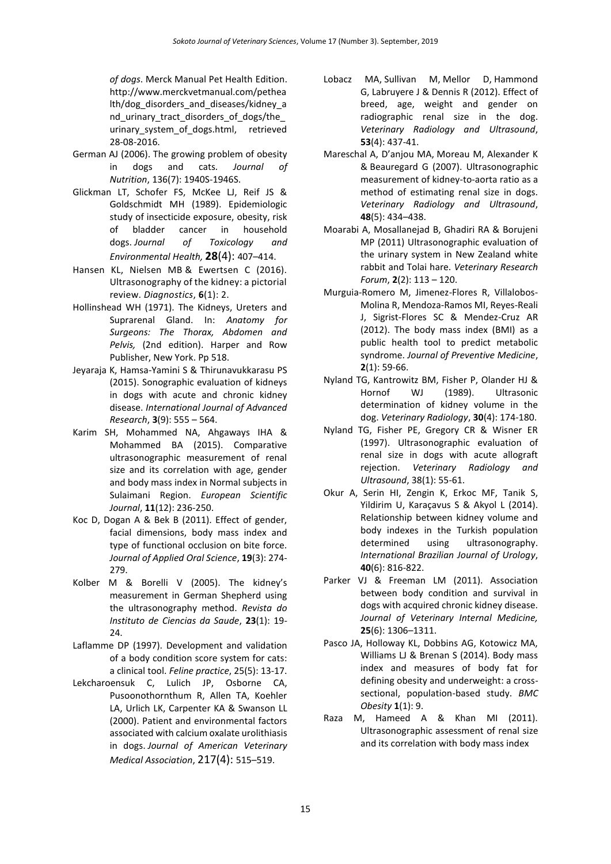*of dogs*. [Merck Manual Pet Health](http://www.merckvetmanual.com/) Edition. [http://www.merckvetmanual.com/pethea](http://www.merckvetmanual.com/pethealth/dog_disorders_and_diseases/kidney_and_urinary_tract_disorders_of_dogs/the_urinary_system_of_dogs.html,%20retrieved%2028-08-2016) [lth/dog\\_disorders\\_and\\_diseases/kidney\\_a](http://www.merckvetmanual.com/pethealth/dog_disorders_and_diseases/kidney_and_urinary_tract_disorders_of_dogs/the_urinary_system_of_dogs.html,%20retrieved%2028-08-2016) nd urinary tract disorders of dogs/the urinary system of dogs.html, retrieved [28-08-2016.](http://www.merckvetmanual.com/pethealth/dog_disorders_and_diseases/kidney_and_urinary_tract_disorders_of_dogs/the_urinary_system_of_dogs.html,%20retrieved%2028-08-2016)

- German AJ (2006). The growing problem of obesity in dogs and cats*. Journal of Nutrition*, 136(7): 1940S-1946S.
- Glickman LT, Schofer FS, McKee LJ, Reif JS & Goldschmidt MH (1989). Epidemiologic study of insecticide exposure, obesity, risk of bladder cancer in household dogs. *Journal of Toxicology and Environmental Health,* **28**(4): 407–414.
- Hansen KL, Nielsen MB & Ewertsen C (2016). Ultrasonography of the kidney: a pictorial review. *Diagnostics*, **6**(1): 2.
- Hollinshead WH (1971). The Kidneys, Ureters and Suprarenal Gland. In: *Anatomy for Surgeons: The Thorax, Abdomen and Pelvis,* (2nd edition). Harper and Row Publisher, New York. Pp 518.
- Jeyaraja K, Hamsa-Yamini S & Thirunavukkarasu PS (2015). Sonographic evaluation of kidneys in dogs with acute and chronic kidney disease. *International Journal of Advanced Research*, **3**(9): 555 – 564.
- Karim SH, Mohammed NA, Ahgaways IHA & Mohammed BA (2015). Comparative ultrasonographic measurement of renal size and its correlation with age, gender and body mass index in Normal subjects in Sulaimani Region. *European Scientific Journal*, **11**(12): 236-250.
- Koc D, Dogan A & Bek B (2011). Effect of gender, facial dimensions, body mass index and type of functional occlusion on bite force. *Journal of Applied Oral Science*, **19**(3): 274- 279.
- Kolber M & Borelli V (2005). The kidney's measurement in German Shepherd using the ultrasonography method. *Revista do Instituto de Ciencias da Saude*, **23**(1): 19- 24.
- Laflamme DP (1997). Development and validation of a body condition score system for cats: a clinical tool. *Feline practice*, 25(5): 13-17.
- Lekcharoensuk C, Lulich JP, Osborne CA, Pusoonothornthum R, Allen TA, Koehler LA, Urlich LK, Carpenter KA & Swanson LL (2000). Patient and environmental factors associated with calcium oxalate urolithiasis in dogs. *Journal of American Veterinary Medical Association*, 217(4): 515–519.
- [Lobacz MA,](http://www.ncbi.nlm.nih.gov/pubmed/?term=Lobacz%20MA%5BAuthor%5D&cauthor=true&cauthor_uid=22537277) [Sullivan](http://www.ncbi.nlm.nih.gov/pubmed/?term=Sullivan%20M%5BAuthor%5D&cauthor=true&cauthor_uid=22537277) M, [Mellor D,](http://www.ncbi.nlm.nih.gov/pubmed/?term=Mellor%20D%5BAuthor%5D&cauthor=true&cauthor_uid=22537277) [Hammond](http://www.ncbi.nlm.nih.gov/pubmed/?term=Hammond%20G%5BAuthor%5D&cauthor=true&cauthor_uid=22537277)  [G,](http://www.ncbi.nlm.nih.gov/pubmed/?term=Hammond%20G%5BAuthor%5D&cauthor=true&cauthor_uid=22537277) [Labruyere J](http://www.ncbi.nlm.nih.gov/pubmed/?term=Labruy%C3%A8re%20J%5BAuthor%5D&cauthor=true&cauthor_uid=22537277) & [Dennis R](http://www.ncbi.nlm.nih.gov/pubmed/?term=Dennis%20R%5BAuthor%5D&cauthor=true&cauthor_uid=22537277) (2012). Effect of breed, age, weight and gender on radiographic renal size in the dog. *Veterinary Radiology and Ultrasound*, **53**(4): 437-41.
- Mareschal A, D'anjou MA, Moreau M, Alexander K & Beauregard G (2007). Ultrasonographic measurement of kidney-to-aorta ratio as a method of estimating renal size in dogs. *Veterinary Radiology and Ultrasound*, **48**(5): 434–438.
- Moarabi A, Mosallanejad B, Ghadiri RA & Borujeni MP (2011) Ultrasonographic evaluation of the urinary system in New Zealand white rabbit and Tolai hare. *Veterinary Research Forum*, **2**(2): 113 – 120.
- Murguia-Romero M, Jimenez-Flores R, Villalobos-Molina R, Mendoza-Ramos MI, Reyes-Reali J, Sigrist-Flores SC & Mendez-Cruz AR (2012). The body mass index (BMI) as a public health tool to predict metabolic syndrome. *Journal of Preventive Medicine*, **2**(1): 59-66.
- Nyland TG, Kantrowitz BM, Fisher P, Olander HJ & Hornof WJ (1989). Ultrasonic determination of kidney volume in the dog. *Veterinary Radiology*, **30**(4): 174-180.
- Nyland TG, Fisher PE, Gregory CR & Wisner ER (1997). Ultrasonographic evaluation of renal size in dogs with acute allograft rejection. *Veterinary Radiology and Ultrasound*, 38(1): 55-61.
- Okur A, Serin HI, Zengin K, Erkoc MF, Tanik S, Yildirim U, Karaçavus S & Akyol L (2014). Relationship between kidney volume and body indexes in the Turkish population determined using ultrasonography. *International Brazilian Journal of Urology*, **40**(6): 816-822.
- Parker VJ & Freeman LM (2011). Association between body condition and survival in dogs with acquired chronic kidney disease. *Journal of Veterinary Internal Medicine,* **25**(6): 1306–1311.
- Pasco JA, Holloway KL, Dobbins AG, Kotowicz MA, Williams LJ & Brenan S (2014). Body mass index and measures of body fat for defining obesity and underweight: a crosssectional, population-based study. *BMC Obesity* **1**(1): 9.
- Raza M, Hameed A & Khan MI (2011). Ultrasonographic assessment of renal size and its correlation with body mass index